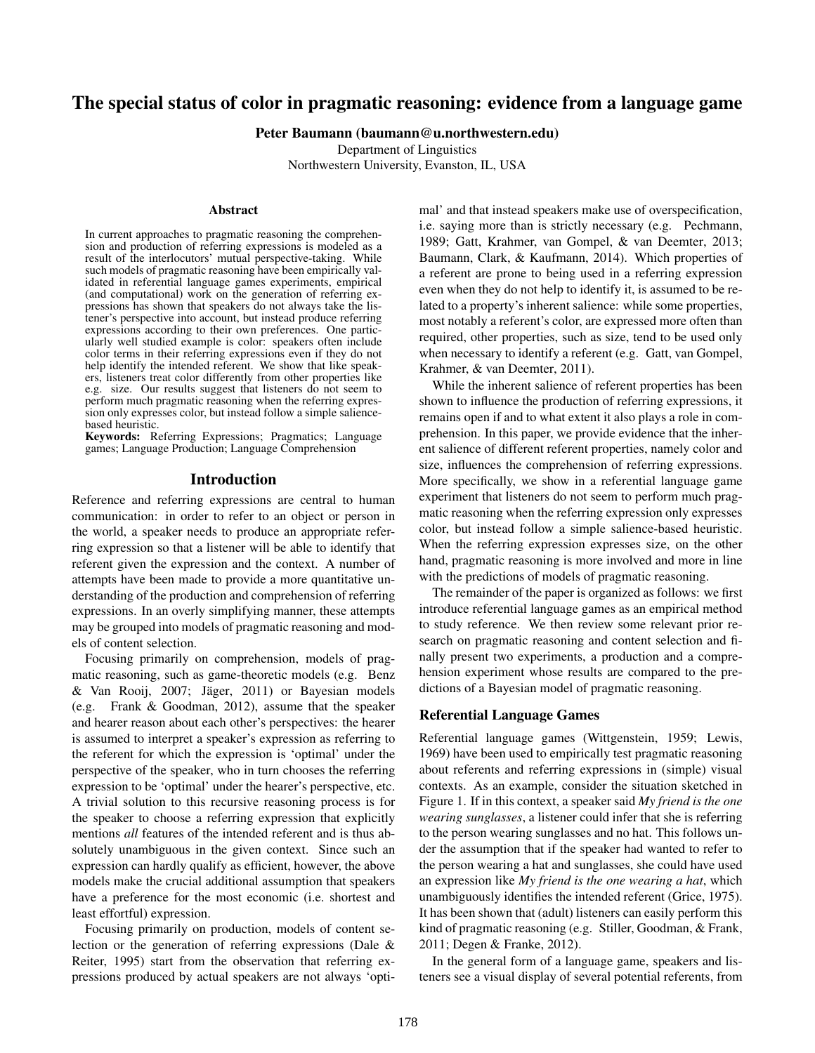# The special status of color in pragmatic reasoning: evidence from a language game

Peter Baumann (baumann@u.northwestern.edu)

Department of Linguistics

Northwestern University, Evanston, IL, USA

## Abstract

In current approaches to pragmatic reasoning the comprehension and production of referring expressions is modeled as a result of the interlocutors' mutual perspective-taking. While such models of pragmatic reasoning have been empirically validated in referential language games experiments, empirical (and computational) work on the generation of referring expressions has shown that speakers do not always take the listener's perspective into account, but instead produce referring expressions according to their own preferences. One particularly well studied example is color: speakers often include color terms in their referring expressions even if they do not help identify the intended referent. We show that like speakers, listeners treat color differently from other properties like e.g. size. Our results suggest that listeners do not seem to perform much pragmatic reasoning when the referring expression only expresses color, but instead follow a simple saliencebased heuristic.

Keywords: Referring Expressions; Pragmatics; Language games; Language Production; Language Comprehension

#### Introduction

Reference and referring expressions are central to human communication: in order to refer to an object or person in the world, a speaker needs to produce an appropriate referring expression so that a listener will be able to identify that referent given the expression and the context. A number of attempts have been made to provide a more quantitative understanding of the production and comprehension of referring expressions. In an overly simplifying manner, these attempts may be grouped into models of pragmatic reasoning and models of content selection.

Focusing primarily on comprehension, models of pragmatic reasoning, such as game-theoretic models (e.g. Benz & Van Rooij, 2007; Jager, 2011) or Bayesian models ¨ (e.g. Frank & Goodman, 2012), assume that the speaker and hearer reason about each other's perspectives: the hearer is assumed to interpret a speaker's expression as referring to the referent for which the expression is 'optimal' under the perspective of the speaker, who in turn chooses the referring expression to be 'optimal' under the hearer's perspective, etc. A trivial solution to this recursive reasoning process is for the speaker to choose a referring expression that explicitly mentions *all* features of the intended referent and is thus absolutely unambiguous in the given context. Since such an expression can hardly qualify as efficient, however, the above models make the crucial additional assumption that speakers have a preference for the most economic (i.e. shortest and least effortful) expression.

Focusing primarily on production, models of content selection or the generation of referring expressions (Dale & Reiter, 1995) start from the observation that referring expressions produced by actual speakers are not always 'optimal' and that instead speakers make use of overspecification, i.e. saying more than is strictly necessary (e.g. Pechmann, 1989; Gatt, Krahmer, van Gompel, & van Deemter, 2013; Baumann, Clark, & Kaufmann, 2014). Which properties of a referent are prone to being used in a referring expression even when they do not help to identify it, is assumed to be related to a property's inherent salience: while some properties, most notably a referent's color, are expressed more often than required, other properties, such as size, tend to be used only when necessary to identify a referent (e.g. Gatt, van Gompel, Krahmer, & van Deemter, 2011).

While the inherent salience of referent properties has been shown to influence the production of referring expressions, it remains open if and to what extent it also plays a role in comprehension. In this paper, we provide evidence that the inherent salience of different referent properties, namely color and size, influences the comprehension of referring expressions. More specifically, we show in a referential language game experiment that listeners do not seem to perform much pragmatic reasoning when the referring expression only expresses color, but instead follow a simple salience-based heuristic. When the referring expression expresses size, on the other hand, pragmatic reasoning is more involved and more in line with the predictions of models of pragmatic reasoning.

The remainder of the paper is organized as follows: we first introduce referential language games as an empirical method to study reference. We then review some relevant prior research on pragmatic reasoning and content selection and finally present two experiments, a production and a comprehension experiment whose results are compared to the predictions of a Bayesian model of pragmatic reasoning.

#### Referential Language Games

Referential language games (Wittgenstein, 1959; Lewis, 1969) have been used to empirically test pragmatic reasoning about referents and referring expressions in (simple) visual contexts. As an example, consider the situation sketched in Figure 1. If in this context, a speaker said *My friend is the one wearing sunglasses*, a listener could infer that she is referring to the person wearing sunglasses and no hat. This follows under the assumption that if the speaker had wanted to refer to the person wearing a hat and sunglasses, she could have used an expression like *My friend is the one wearing a hat*, which unambiguously identifies the intended referent (Grice, 1975). It has been shown that (adult) listeners can easily perform this kind of pragmatic reasoning (e.g. Stiller, Goodman, & Frank, 2011; Degen & Franke, 2012).

In the general form of a language game, speakers and listeners see a visual display of several potential referents, from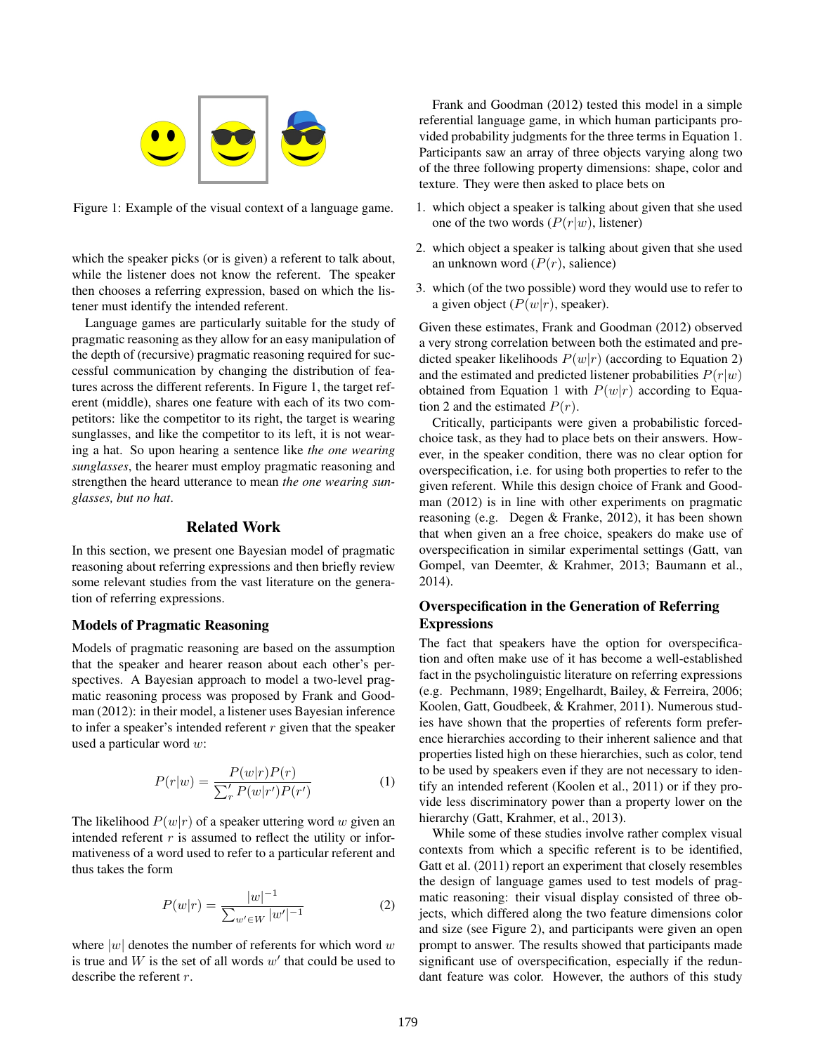

Figure 1: Example of the visual context of a language game.

which the speaker picks (or is given) a referent to talk about, while the listener does not know the referent. The speaker then chooses a referring expression, based on which the listener must identify the intended referent.

Language games are particularly suitable for the study of pragmatic reasoning as they allow for an easy manipulation of the depth of (recursive) pragmatic reasoning required for successful communication by changing the distribution of features across the different referents. In Figure 1, the target referent (middle), shares one feature with each of its two competitors: like the competitor to its right, the target is wearing sunglasses, and like the competitor to its left, it is not wearing a hat. So upon hearing a sentence like *the one wearing sunglasses*, the hearer must employ pragmatic reasoning and strengthen the heard utterance to mean *the one wearing sunglasses, but no hat*.

## Related Work

In this section, we present one Bayesian model of pragmatic reasoning about referring expressions and then briefly review some relevant studies from the vast literature on the generation of referring expressions.

## Models of Pragmatic Reasoning

Models of pragmatic reasoning are based on the assumption that the speaker and hearer reason about each other's perspectives. A Bayesian approach to model a two-level pragmatic reasoning process was proposed by Frank and Goodman (2012): in their model, a listener uses Bayesian inference to infer a speaker's intended referent  $r$  given that the speaker used a particular word w:

$$
P(r|w) = \frac{P(w|r)P(r)}{\sum_{r}^{\'} P(w|r')P(r')} \tag{1}
$$

The likelihood  $P(w|r)$  of a speaker uttering word w given an intended referent  $r$  is assumed to reflect the utility or informativeness of a word used to refer to a particular referent and thus takes the form

$$
P(w|r) = \frac{|w|^{-1}}{\sum_{w' \in W} |w'|^{-1}} \tag{2}
$$

where  $|w|$  denotes the number of referents for which word w is true and  $W$  is the set of all words  $w'$  that could be used to describe the referent r.

Frank and Goodman (2012) tested this model in a simple referential language game, in which human participants provided probability judgments for the three terms in Equation 1. Participants saw an array of three objects varying along two of the three following property dimensions: shape, color and texture. They were then asked to place bets on

- 1. which object a speaker is talking about given that she used one of the two words  $(P(r|w))$ , listener)
- 2. which object a speaker is talking about given that she used an unknown word  $(P(r))$ , salience)
- 3. which (of the two possible) word they would use to refer to a given object  $(P(w|r))$ , speaker).

Given these estimates, Frank and Goodman (2012) observed a very strong correlation between both the estimated and predicted speaker likelihoods  $P(w|r)$  (according to Equation 2) and the estimated and predicted listener probabilities  $P(r|w)$ obtained from Equation 1 with  $P(w|r)$  according to Equation 2 and the estimated  $P(r)$ .

Critically, participants were given a probabilistic forcedchoice task, as they had to place bets on their answers. However, in the speaker condition, there was no clear option for overspecification, i.e. for using both properties to refer to the given referent. While this design choice of Frank and Goodman (2012) is in line with other experiments on pragmatic reasoning (e.g. Degen & Franke, 2012), it has been shown that when given an a free choice, speakers do make use of overspecification in similar experimental settings (Gatt, van Gompel, van Deemter, & Krahmer, 2013; Baumann et al., 2014).

## Overspecification in the Generation of Referring **Expressions**

The fact that speakers have the option for overspecification and often make use of it has become a well-established fact in the psycholinguistic literature on referring expressions (e.g. Pechmann, 1989; Engelhardt, Bailey, & Ferreira, 2006; Koolen, Gatt, Goudbeek, & Krahmer, 2011). Numerous studies have shown that the properties of referents form preference hierarchies according to their inherent salience and that properties listed high on these hierarchies, such as color, tend to be used by speakers even if they are not necessary to identify an intended referent (Koolen et al., 2011) or if they provide less discriminatory power than a property lower on the hierarchy (Gatt, Krahmer, et al., 2013).

While some of these studies involve rather complex visual contexts from which a specific referent is to be identified, Gatt et al. (2011) report an experiment that closely resembles the design of language games used to test models of pragmatic reasoning: their visual display consisted of three objects, which differed along the two feature dimensions color and size (see Figure 2), and participants were given an open prompt to answer. The results showed that participants made significant use of overspecification, especially if the redundant feature was color. However, the authors of this study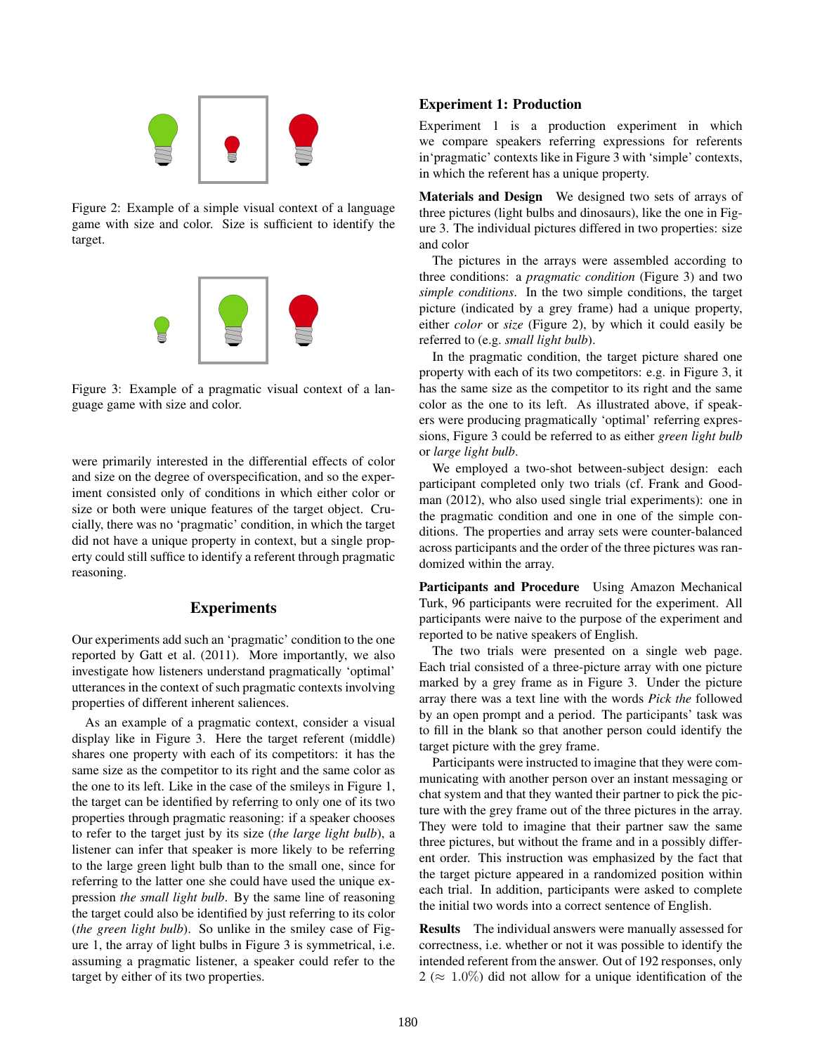

Figure 2: Example of a simple visual context of a language game with size and color. Size is sufficient to identify the target.



Figure 3: Example of a pragmatic visual context of a language game with size and color.

were primarily interested in the differential effects of color and size on the degree of overspecification, and so the experiment consisted only of conditions in which either color or size or both were unique features of the target object. Crucially, there was no 'pragmatic' condition, in which the target did not have a unique property in context, but a single property could still suffice to identify a referent through pragmatic reasoning.

## **Experiments**

Our experiments add such an 'pragmatic' condition to the one reported by Gatt et al. (2011). More importantly, we also investigate how listeners understand pragmatically 'optimal' utterances in the context of such pragmatic contexts involving properties of different inherent saliences.

As an example of a pragmatic context, consider a visual display like in Figure 3. Here the target referent (middle) shares one property with each of its competitors: it has the same size as the competitor to its right and the same color as the one to its left. Like in the case of the smileys in Figure 1, the target can be identified by referring to only one of its two properties through pragmatic reasoning: if a speaker chooses to refer to the target just by its size (*the large light bulb*), a listener can infer that speaker is more likely to be referring to the large green light bulb than to the small one, since for referring to the latter one she could have used the unique expression *the small light bulb*. By the same line of reasoning the target could also be identified by just referring to its color (*the green light bulb*). So unlike in the smiley case of Figure 1, the array of light bulbs in Figure 3 is symmetrical, i.e. assuming a pragmatic listener, a speaker could refer to the target by either of its two properties.

## Experiment 1: Production

Experiment 1 is a production experiment in which we compare speakers referring expressions for referents in'pragmatic' contexts like in Figure 3 with 'simple' contexts, in which the referent has a unique property.

Materials and Design We designed two sets of arrays of three pictures (light bulbs and dinosaurs), like the one in Figure 3. The individual pictures differed in two properties: size and color

The pictures in the arrays were assembled according to three conditions: a *pragmatic condition* (Figure 3) and two *simple conditions*. In the two simple conditions, the target picture (indicated by a grey frame) had a unique property, either *color* or *size* (Figure 2), by which it could easily be referred to (e.g. *small light bulb*).

In the pragmatic condition, the target picture shared one property with each of its two competitors: e.g. in Figure 3, it has the same size as the competitor to its right and the same color as the one to its left. As illustrated above, if speakers were producing pragmatically 'optimal' referring expressions, Figure 3 could be referred to as either *green light bulb* or *large light bulb*.

We employed a two-shot between-subject design: each participant completed only two trials (cf. Frank and Goodman (2012), who also used single trial experiments): one in the pragmatic condition and one in one of the simple conditions. The properties and array sets were counter-balanced across participants and the order of the three pictures was randomized within the array.

Participants and Procedure Using Amazon Mechanical Turk, 96 participants were recruited for the experiment. All participants were naive to the purpose of the experiment and reported to be native speakers of English.

The two trials were presented on a single web page. Each trial consisted of a three-picture array with one picture marked by a grey frame as in Figure 3. Under the picture array there was a text line with the words *Pick the* followed by an open prompt and a period. The participants' task was to fill in the blank so that another person could identify the target picture with the grey frame.

Participants were instructed to imagine that they were communicating with another person over an instant messaging or chat system and that they wanted their partner to pick the picture with the grey frame out of the three pictures in the array. They were told to imagine that their partner saw the same three pictures, but without the frame and in a possibly different order. This instruction was emphasized by the fact that the target picture appeared in a randomized position within each trial. In addition, participants were asked to complete the initial two words into a correct sentence of English.

Results The individual answers were manually assessed for correctness, i.e. whether or not it was possible to identify the intended referent from the answer. Out of 192 responses, only  $2 \approx 1.0\%$ ) did not allow for a unique identification of the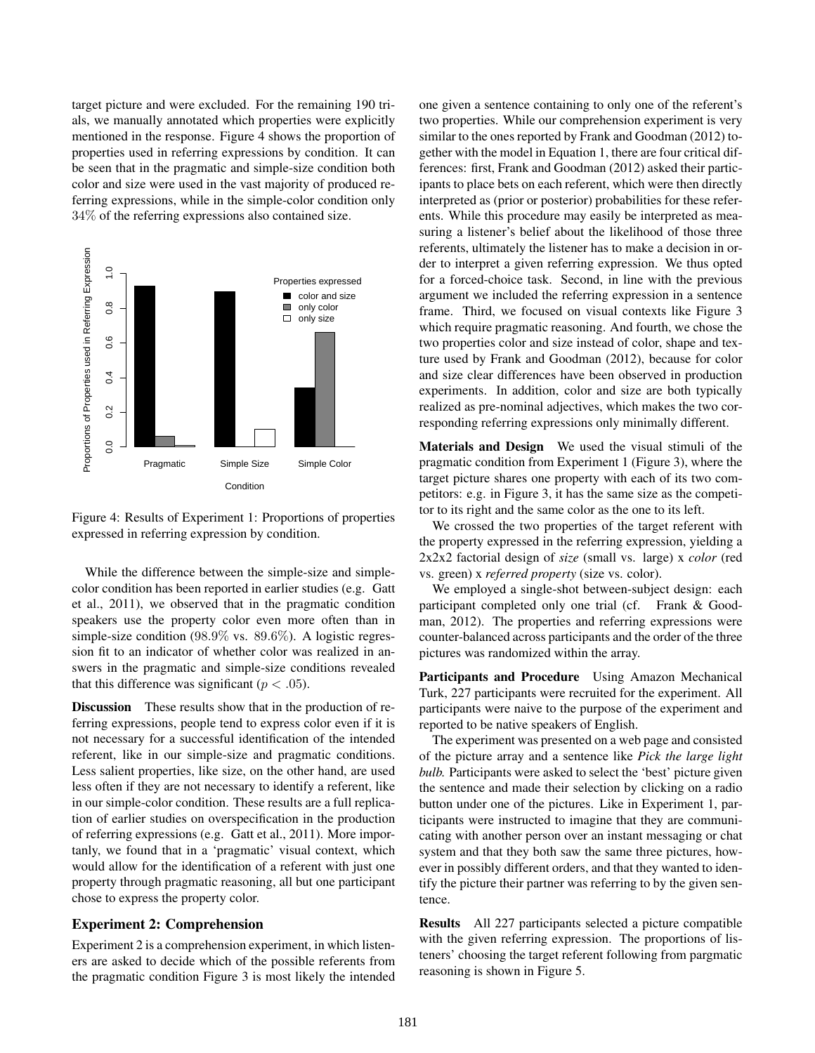target picture and were excluded. For the remaining 190 trials, we manually annotated which properties were explicitly mentioned in the response. Figure 4 shows the proportion of properties used in referring expressions by condition. It can be seen that in the pragmatic and simple-size condition both color and size were used in the vast majority of produced referring expressions, while in the simple-color condition only 34% of the referring expressions also contained size.



Figure 4: Results of Experiment 1: Proportions of properties expressed in referring expression by condition.

While the difference between the simple-size and simplecolor condition has been reported in earlier studies (e.g. Gatt et al., 2011), we observed that in the pragmatic condition speakers use the property color even more often than in simple-size condition (98.9% vs. 89.6%). A logistic regression fit to an indicator of whether color was realized in answers in the pragmatic and simple-size conditions revealed that this difference was significant ( $p < .05$ ).

Discussion These results show that in the production of referring expressions, people tend to express color even if it is not necessary for a successful identification of the intended referent, like in our simple-size and pragmatic conditions. Less salient properties, like size, on the other hand, are used less often if they are not necessary to identify a referent, like in our simple-color condition. These results are a full replication of earlier studies on overspecification in the production of referring expressions (e.g. Gatt et al., 2011). More importanly, we found that in a 'pragmatic' visual context, which would allow for the identification of a referent with just one property through pragmatic reasoning, all but one participant chose to express the property color.

## Experiment 2: Comprehension

Experiment 2 is a comprehension experiment, in which listeners are asked to decide which of the possible referents from the pragmatic condition Figure 3 is most likely the intended one given a sentence containing to only one of the referent's two properties. While our comprehension experiment is very similar to the ones reported by Frank and Goodman (2012) together with the model in Equation 1, there are four critical differences: first, Frank and Goodman (2012) asked their participants to place bets on each referent, which were then directly interpreted as (prior or posterior) probabilities for these referents. While this procedure may easily be interpreted as measuring a listener's belief about the likelihood of those three referents, ultimately the listener has to make a decision in order to interpret a given referring expression. We thus opted for a forced-choice task. Second, in line with the previous argument we included the referring expression in a sentence frame. Third, we focused on visual contexts like Figure 3 which require pragmatic reasoning. And fourth, we chose the two properties color and size instead of color, shape and texture used by Frank and Goodman (2012), because for color and size clear differences have been observed in production experiments. In addition, color and size are both typically realized as pre-nominal adjectives, which makes the two corresponding referring expressions only minimally different.

Materials and Design We used the visual stimuli of the pragmatic condition from Experiment 1 (Figure 3), where the target picture shares one property with each of its two competitors: e.g. in Figure 3, it has the same size as the competitor to its right and the same color as the one to its left.

We crossed the two properties of the target referent with the property expressed in the referring expression, yielding a 2x2x2 factorial design of *size* (small vs. large) x *color* (red vs. green) x *referred property* (size vs. color).

We employed a single-shot between-subject design: each participant completed only one trial (cf. Frank & Goodman, 2012). The properties and referring expressions were counter-balanced across participants and the order of the three pictures was randomized within the array.

Participants and Procedure Using Amazon Mechanical Turk, 227 participants were recruited for the experiment. All participants were naive to the purpose of the experiment and reported to be native speakers of English.

The experiment was presented on a web page and consisted of the picture array and a sentence like *Pick the large light bulb.* Participants were asked to select the 'best' picture given the sentence and made their selection by clicking on a radio button under one of the pictures. Like in Experiment 1, participants were instructed to imagine that they are communicating with another person over an instant messaging or chat system and that they both saw the same three pictures, however in possibly different orders, and that they wanted to identify the picture their partner was referring to by the given sentence.

Results All 227 participants selected a picture compatible with the given referring expression. The proportions of listeners' choosing the target referent following from pargmatic reasoning is shown in Figure 5.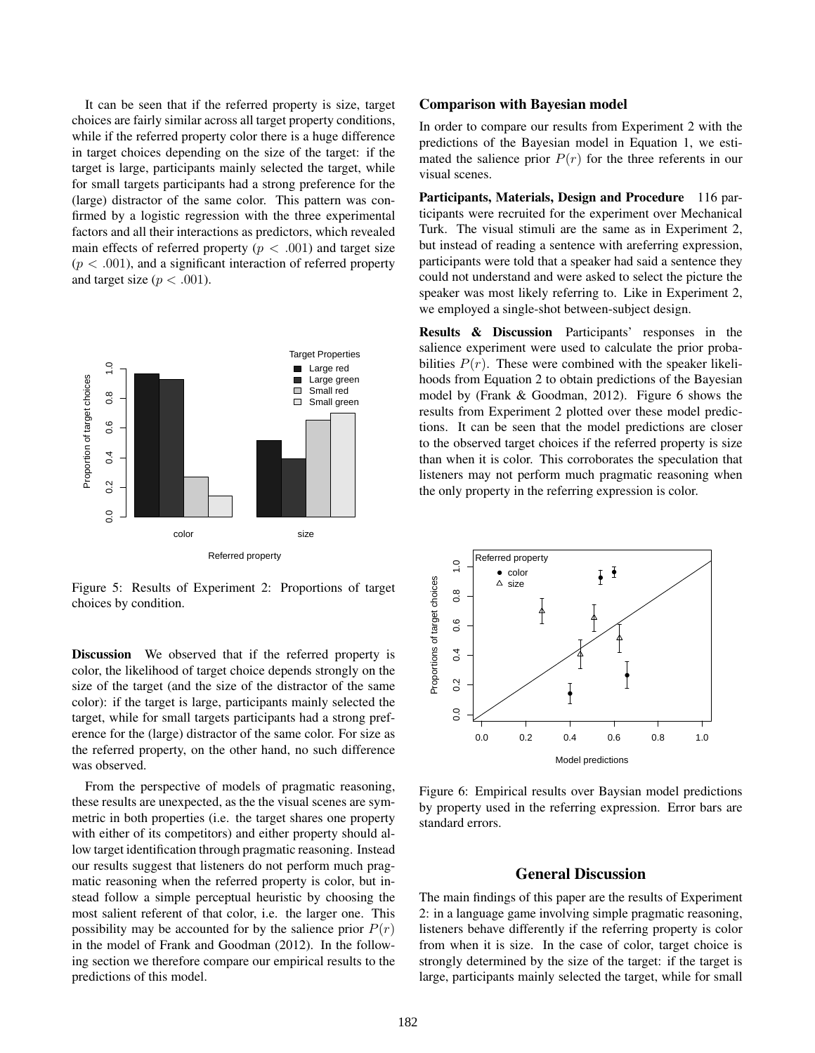It can be seen that if the referred property is size, target choices are fairly similar across all target property conditions, while if the referred property color there is a huge difference in target choices depending on the size of the target: if the target is large, participants mainly selected the target, while for small targets participants had a strong preference for the (large) distractor of the same color. This pattern was confirmed by a logistic regression with the three experimental factors and all their interactions as predictors, which revealed main effects of referred property ( $p < .001$ ) and target size  $(p < .001)$ , and a significant interaction of referred property and target size ( $p < .001$ ).



Figure 5: Results of Experiment 2: Proportions of target choices by condition.

Discussion We observed that if the referred property is color, the likelihood of target choice depends strongly on the size of the target (and the size of the distractor of the same color): if the target is large, participants mainly selected the target, while for small targets participants had a strong preference for the (large) distractor of the same color. For size as the referred property, on the other hand, no such difference was observed.

From the perspective of models of pragmatic reasoning, these results are unexpected, as the the visual scenes are symmetric in both properties (i.e. the target shares one property with either of its competitors) and either property should allow target identification through pragmatic reasoning. Instead our results suggest that listeners do not perform much pragmatic reasoning when the referred property is color, but instead follow a simple perceptual heuristic by choosing the most salient referent of that color, i.e. the larger one. This possibility may be accounted for by the salience prior  $P(r)$ in the model of Frank and Goodman (2012). In the following section we therefore compare our empirical results to the predictions of this model.

#### Comparison with Bayesian model

In order to compare our results from Experiment 2 with the predictions of the Bayesian model in Equation 1, we estimated the salience prior  $P(r)$  for the three referents in our visual scenes.

Participants, Materials, Design and Procedure 116 participants were recruited for the experiment over Mechanical Turk. The visual stimuli are the same as in Experiment 2, but instead of reading a sentence with areferring expression, participants were told that a speaker had said a sentence they could not understand and were asked to select the picture the speaker was most likely referring to. Like in Experiment 2, we employed a single-shot between-subject design.

Results & Discussion Participants' responses in the salience experiment were used to calculate the prior probabilities  $P(r)$ . These were combined with the speaker likelihoods from Equation 2 to obtain predictions of the Bayesian model by (Frank & Goodman, 2012). Figure 6 shows the results from Experiment 2 plotted over these model predictions. It can be seen that the model predictions are closer to the observed target choices if the referred property is size than when it is color. This corroborates the speculation that listeners may not perform much pragmatic reasoning when the only property in the referring expression is color.



Figure 6: Empirical results over Baysian model predictions by property used in the referring expression. Error bars are standard errors.

## General Discussion

The main findings of this paper are the results of Experiment 2: in a language game involving simple pragmatic reasoning, listeners behave differently if the referring property is color from when it is size. In the case of color, target choice is strongly determined by the size of the target: if the target is large, participants mainly selected the target, while for small